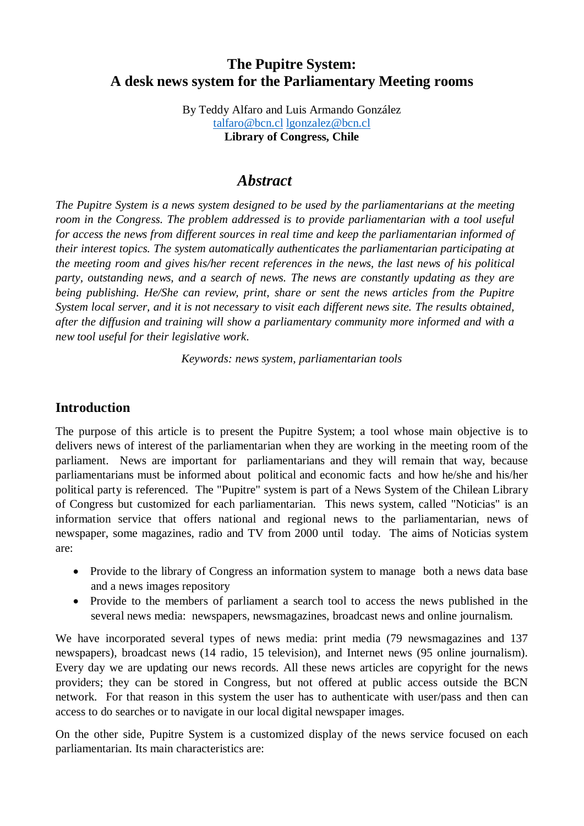# **The Pupitre System: A desk news system for the Parliamentary Meeting rooms**

By Teddy Alfaro and Luis Armando González [talfaro@bcn.cl](mailto:talfaro@bcn.cl) [lgonzalez@bcn.cl](mailto:lgonzalez@bcn.cl) **Library of Congress, Chile**

#### *Abstract*

*The Pupitre System is a news system designed to be used by the parliamentarians at the meeting room in the Congress. The problem addressed is to provide parliamentarian with a tool useful for access the news from different sources in real time and keep the parliamentarian informed of their interest topics. The system automatically authenticates the parliamentarian participating at the meeting room and gives his/her recent references in the news, the last news of his political party, outstanding news, and a search of news. The news are constantly updating as they are being publishing. He/She can review, print, share or sent the news articles from the Pupitre System local server, and it is not necessary to visit each different news site. The results obtained, after the diffusion and training will show a parliamentary community more informed and with a new tool useful for their legislative work*.

*Keywords: news system, parliamentarian tools*

#### **Introduction**

The purpose of this article is to present the Pupitre System; a tool whose main objective is to delivers news of interest of the parliamentarian when they are working in the meeting room of the parliament. News are important for parliamentarians and they will remain that way, because parliamentarians must be informed about political and economic facts and how he/she and his/her political party is referenced. The "Pupitre" system is part of a News System of the Chilean Library of Congress but customized for each parliamentarian. This news system, called "Noticias" is an information service that offers national and regional news to the parliamentarian, news of newspaper, some magazines, radio and TV from 2000 until today. The aims of Noticias system are:

- Provide to the library of Congress an information system to manage both a news data base and a news images repository
- Provide to the members of parliament a search tool to access the news published in the several news media: newspapers, newsmagazines, broadcast news and online journalism.

We have incorporated several types of news media: print media (79 newsmagazines and 137 newspapers), broadcast news (14 radio, 15 television), and Internet news (95 online journalism). Every day we are updating our news records. All these news articles are copyright for the news providers; they can be stored in Congress, but not offered at public access outside the BCN network. For that reason in this system the user has to authenticate with user/pass and then can access to do searches or to navigate in our local digital newspaper images.

On the other side, Pupitre System is a customized display of the news service focused on each parliamentarian. Its main characteristics are: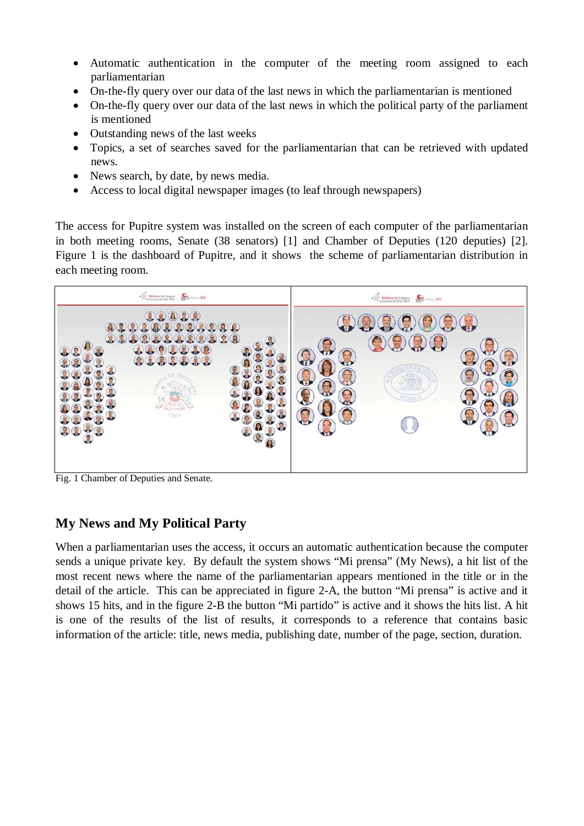- Automatic authentication in the computer of the meeting room assigned to each parliamentarian
- On-the-fly query over our data of the last news in which the parliamentarian is mentioned
- On-the-fly query over our data of the last news in which the political party of the parliament is mentioned
- Outstanding news of the last weeks
- Topics, a set of searches saved for the parliamentarian that can be retrieved with updated news.
- News search, by date, by news media.
- Access to local digital newspaper images (to leaf through newspapers)

The access for Pupitre system was installed on the screen of each computer of the parliamentarian in both meeting rooms, Senate (38 senators) [1] and Chamber of Deputies (120 deputies) [2]. Figure 1 is the dashboard of Pupitre, and it shows the scheme of parliamentarian distribution in each meeting room.



Fig. 1 Chamber of Deputies and Senate.

# **My News and My Political Party**

When a parliamentarian uses the access, it occurs an automatic authentication because the computer sends a unique private key. By default the system shows "Mi prensa" (My News), a hit list of the most recent news where the name of the parliamentarian appears mentioned in the title or in the detail of the article. This can be appreciated in figure 2-A, the button "Mi prensa" is active and it shows 15 hits, and in the figure 2-B the button "Mi partido" is active and it shows the hits list. A hit is one of the results of the list of results, it corresponds to a reference that contains basic information of the article: title, news media, publishing date, number of the page, section, duration.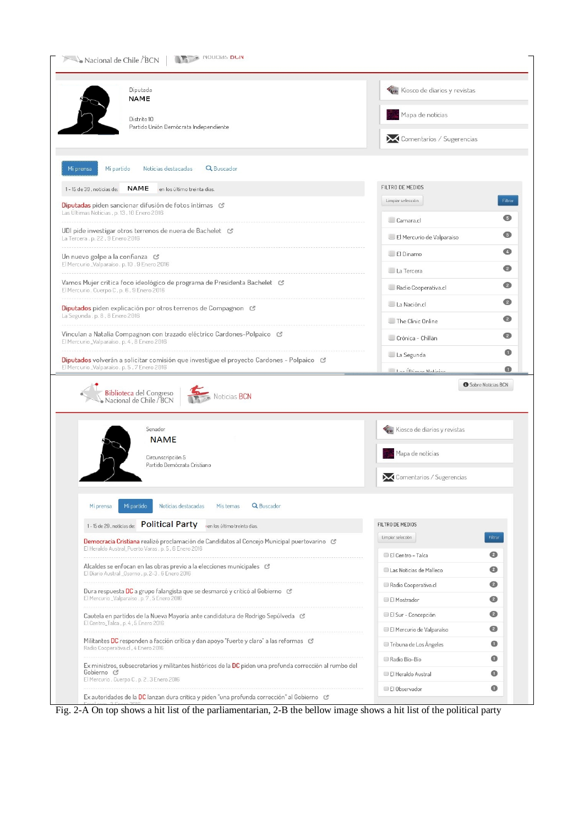| Diputada<br>NAME                                                                                                                                                                                                                                                            | Kiosco de diarios y revistas           |                    |  |
|-----------------------------------------------------------------------------------------------------------------------------------------------------------------------------------------------------------------------------------------------------------------------------|----------------------------------------|--------------------|--|
| Distrito 10<br>Partido Unión Demócrata Independiente                                                                                                                                                                                                                        | Mapa de noticias                       |                    |  |
|                                                                                                                                                                                                                                                                             | Comentarios / Sugerencias              |                    |  |
| Q Buscador<br>Mi partido<br>Noticias destacadas<br>Mi prensa                                                                                                                                                                                                                |                                        |                    |  |
| <b>NAME</b><br>1-15 de 39, noticias de:<br>en los último treinta dias.                                                                                                                                                                                                      | FILTRO DE MEDIOS                       |                    |  |
| Diputadas piden sancionar difusión de fotos íntimas &<br>Las Ultimas Noticias, p. 13, 10 Enero 2016                                                                                                                                                                         | Limpiar selección                      | Filtrar            |  |
| UDI pide investigar otros terrenos de nuera de Bachelet &                                                                                                                                                                                                                   | Camara.cl                              | G                  |  |
| La Tercera, p. 22, 9 Enero 2016                                                                                                                                                                                                                                             | El Mercurio de Valparaiso              | G                  |  |
| Un nuevo golpe a la confianza &<br>El Mercurio_Valparaiso, p. 10, 9 Enero 2016                                                                                                                                                                                              | El Dinamo                              | Ø                  |  |
| Vamos Mujer critica foco ideológico de programa de Presidenta Bachelet &                                                                                                                                                                                                    | La Tercera                             | ๏                  |  |
| El Mercurio, Cuerpo C, p. 6, 9 Enero 2016                                                                                                                                                                                                                                   | Radio Cooperativa.cl                   | Ø<br>◙             |  |
| Diputados piden explicación por otros terrenos de Compagnon &<br>La Segunda, p. 8, 8 Enero 2016                                                                                                                                                                             | La Nación.cl                           | Ø                  |  |
| Vinculan a Natalia Compagnon con trazado eléctrico Cardones-Polpaico &                                                                                                                                                                                                      | The Clinic Online<br>Crónica - Chillán | Ø                  |  |
| El Mercurio_Valparaiso, p. 4, 8 Enero 2016                                                                                                                                                                                                                                  |                                        |                    |  |
|                                                                                                                                                                                                                                                                             |                                        |                    |  |
| Biblioteca del Congreso<br>Nacional de Chile / BCN<br>Noticias BCN                                                                                                                                                                                                          | La Segunda<br>Loc Ultimor Notician     | Sobre Noticias BCN |  |
| Senador                                                                                                                                                                                                                                                                     |                                        |                    |  |
| <b>NAME</b>                                                                                                                                                                                                                                                                 | Kiosco de diarios y revistas           |                    |  |
| Circunscripción 5<br>Partido Demócrata Cristiano                                                                                                                                                                                                                            | Mapa de noticias                       |                    |  |
|                                                                                                                                                                                                                                                                             | Comentarios / Sugerencias              |                    |  |
| Mi partido<br>Noticias destacadas<br>Q Buscador<br>Mi prensa<br>Mis temas                                                                                                                                                                                                   |                                        |                    |  |
| 1-15 de 29, noticias de: Political Party<br>i en los último treinta dias.                                                                                                                                                                                                   | FILTRO DE MEDIOS                       |                    |  |
| Democracia Cristiana realizó proclamación de Candidatos al Concejo Municipal puertovarino &                                                                                                                                                                                 | Limpiar selección                      | Filtrar            |  |
| El Heraldo Austral_Puerto Varas, p. 5, 6 Enero 2016                                                                                                                                                                                                                         | El Centro - Talca                      | Ø                  |  |
| Alcaldes se enfocan en las obras previo a la elecciones municipales &<br>El Diario Austral _Osorno, p. 2-3, 6 Enero 2016                                                                                                                                                    | Las Noticias de Malleco                | $\bullet$          |  |
| Dura respuesta DC a grupo falangista que se desmarcó y criticó al Gobierno &<br>El Mercurio _Valparaiso, p. 7, 5 Enero 2016                                                                                                                                                 | Radio Cooperativa.cl                   | ℯ<br>€             |  |
| Cautela en partidos de la Nueva Mayoría ante candidatura de Rodrigo Sepúlveda &                                                                                                                                                                                             | El Mostrador<br>El Sur - Concepción    | ℯ                  |  |
| El Centro_Talca, p. 4, 5 Enero 2016                                                                                                                                                                                                                                         | El Mercurio de Valparaiso              | ◙                  |  |
| Militantes DC responden a facción crítica y dan apoyo "fuerte y claro" a las reformas G<br>Radio Cooperativa.cl, 4 Enero 2016                                                                                                                                               | Tribuna de Los Ángeles                 | ❶                  |  |
| Diputados volverán a solicitar comisión que investigue el proyecto Cardones - Polpaico &<br>El Mercurio_Valparaiso, p. 5, 7 Enero 2016<br>Ex ministros, subsecretarios y militantes históricos de la DC piden una profunda corrección al rumbo del<br>Gobierno <sup>C</sup> | Radio Bio-Bio                          | O<br>❶<br>❶<br>❶   |  |

Fig. 2-A On top shows a hit list of the parliamentarian, 2-B the bellow image shows a hit list of the political party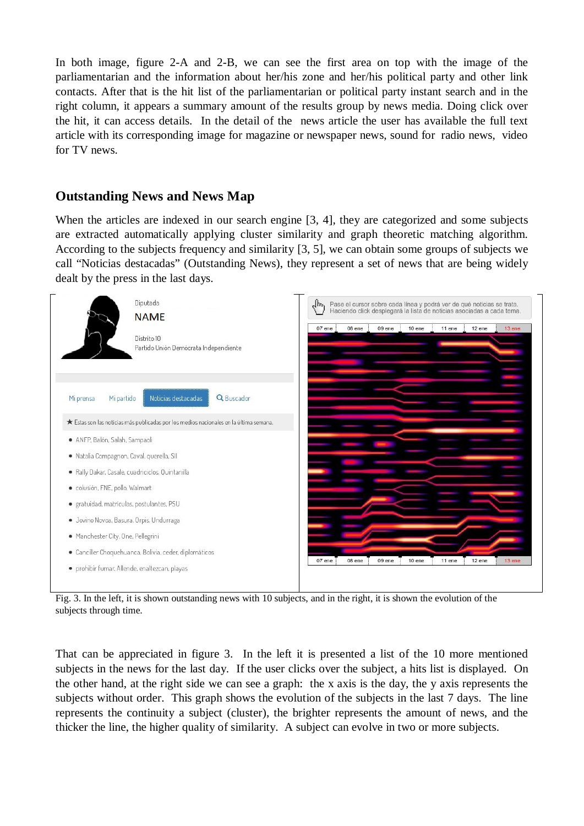In both image, figure 2-A and 2-B, we can see the first area on top with the image of the parliamentarian and the information about her/his zone and her/his political party and other link contacts. After that is the hit list of the parliamentarian or political party instant search and in the right column, it appears a summary amount of the results group by news media. Doing click over the hit, it can access details. In the detail of the news article the user has available the full text article with its corresponding image for magazine or newspaper news, sound for radio news, video for TV news.

#### **Outstanding News and News Map**

When the articles are indexed in our search engine [3, 4], they are categorized and some subjects are extracted automatically applying cluster similarity and graph theoretic matching algorithm. According to the subjects frequency and similarity [3, 5], we can obtain some groups of subjects we call "Noticias destacadas" (Outstanding News), they represent a set of news that are being widely dealt by the press in the last days.



Fig. 3. In the left, it is shown outstanding news with 10 subjects, and in the right, it is shown the evolution of the subjects through time.

That can be appreciated in figure 3. In the left it is presented a list of the 10 more mentioned subjects in the news for the last day. If the user clicks over the subject, a hits list is displayed. On the other hand, at the right side we can see a graph: the x axis is the day, the y axis represents the subjects without order. This graph shows the evolution of the subjects in the last 7 days. The line represents the continuity a subject (cluster), the brighter represents the amount of news, and the thicker the line, the higher quality of similarity. A subject can evolve in two or more subjects.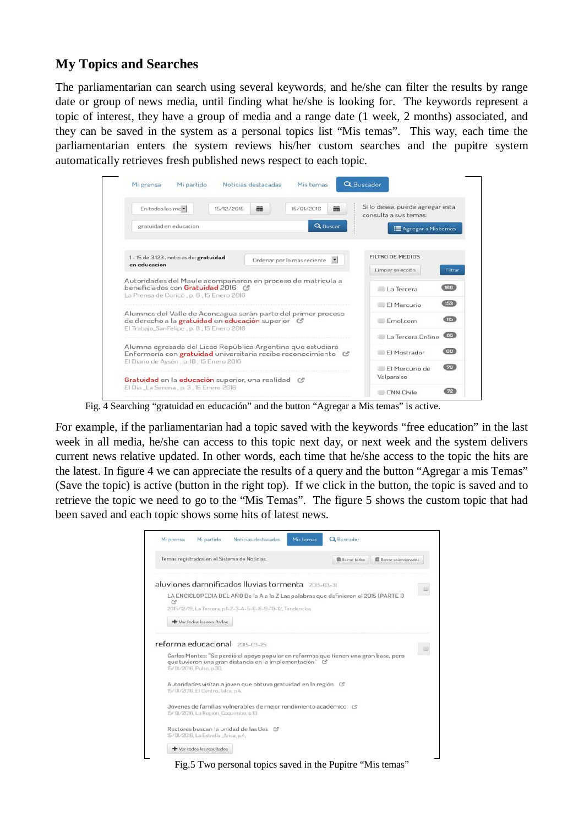## **My Topics and Searches**

The parliamentarian can search using several keywords, and he/she can filter the results by range date or group of news media, until finding what he/she is looking for. The keywords represent a topic of interest, they have a group of media and a range date (1 week, 2 months) associated, and they can be saved in the system as a personal topics list "Mis temas". This way, each time the parliamentarian enters the system reviews his/her custom searches and the pupitre system automatically retrieves fresh published news respect to each topic.

| Mi prensa<br>Mi partido                                                                                                                                           | Mis temas<br>Noticias destacadas | Q Buscador                                               |
|-------------------------------------------------------------------------------------------------------------------------------------------------------------------|----------------------------------|----------------------------------------------------------|
| En todos los me<br>15/12/2015                                                                                                                                     | 論<br>繭<br>15/01/2016             | Si lo desea, puede agregar esta<br>consulta a sus temas: |
| gratuidad en educacion                                                                                                                                            | <b>Q</b> Buscar                  | <b>三</b> Agregar a Mis temas                             |
| 1-15 de 3.123, noticias de: gratuidad<br>en educacion                                                                                                             | Ordenar por lo más reciente      | <b>FILTRO DE MEDIOS</b>                                  |
|                                                                                                                                                                   |                                  | Limpiar selección<br>Filtrar                             |
| Autoridades del Maule acompañaron en proceso de matrícula a<br>beneficiados con Gratuidad 2016 (*<br>La Prensa de Curicó, p. 6, 15 Enero 2016                     |                                  | (166)<br>La Tercera                                      |
|                                                                                                                                                                   |                                  | <b>CIRCLE</b><br>El Mercurio                             |
| Alumnos del Valle de Aconcagua serán parte del primer proceso<br>de derecho a la gratuidad en educación superior &<br>El Trabajo, San Felipe, p. 8, 15 Enero 2016 |                                  | <b>GTR3</b><br>EmoLcom                                   |
|                                                                                                                                                                   |                                  | <b>CISD</b><br>La Tercera Opline                         |
| Alumna egresada del Liceo República Argentina que estudiará<br>Enfermería con gratuidad universitaria recibe reconocimiento C                                     |                                  | CD<br>El Mostrador                                       |
| El Diario de Aysén, p. 10, 15 Enero 2016                                                                                                                          |                                  | (79)<br>FI Mercurio de                                   |
| Gratuidad en la educación superior, una realidad G                                                                                                                |                                  | Valparaiso                                               |
|                                                                                                                                                                   |                                  |                                                          |

Fig. 4 Searching "gratuidad en educación" and the button "Agregar a Mis temas" is active.

For example, if the parliamentarian had a topic saved with the keywords "free education" in the last week in all media, he/she can access to this topic next day, or next week and the system delivers current news relative updated. In other words, each time that he/she access to the topic the hits are the latest. In figure 4 we can appreciate the results of a query and the button "Agregar a mis Temas" (Save the topic) is active (button in the right top). If we click in the button, the topic is saved and to retrieve the topic we need to go to the "Mis Temas". The figure 5 shows the custom topic that had been saved and each topic shows some hits of latest news.

|   | Mi partido                             | Noticias destacadas                                              | Mis temas<br>Q Buscador                                                               |                                 |
|---|----------------------------------------|------------------------------------------------------------------|---------------------------------------------------------------------------------------|---------------------------------|
|   |                                        | Temas registrados en el Sistema de Noticias.                     | <b>面</b> Borrar todos                                                                 | <b>III</b> Borrar seleccionados |
|   |                                        |                                                                  |                                                                                       |                                 |
|   |                                        | aluviones damnificados lluvias tormenta ensurar                  |                                                                                       |                                 |
| G |                                        |                                                                  | LA ENCICLOPEDIA DEL ANO De la A a la Z Las palabras que definieron el 2015 (PARTE I)  |                                 |
|   |                                        | 2015/12/19, La Tercera, p.1-2-3-4-5-6-8-9-10-12, Tendencias      |                                                                                       |                                 |
|   | + Ver todos los resultados             |                                                                  |                                                                                       |                                 |
|   |                                        | reforma educacional 2015-03-25                                   |                                                                                       |                                 |
|   | 15/01/2016, Pulso, p.30.               | que tuvieron una gran distancia en la implementación" C          | Carlos Montes: "Se perdió el apoyo popular en reformas que tienen una gran base, pero |                                 |
|   | 15/01/2016, El Centro, Talca, p.4.     | Autoridades visitan a joven que obtuvo gratuidad en la región C  |                                                                                       |                                 |
|   |                                        | Jóvenes de familias vulnerables de mejor rendimiento académico C |                                                                                       |                                 |
|   | 15/01/2016, La Región, Coguimbo, p.10, |                                                                  |                                                                                       |                                 |
|   | 15/01/2016, La Estrella Arica, p.4,    | Rectores buscan la unidad de las Ues &                           |                                                                                       |                                 |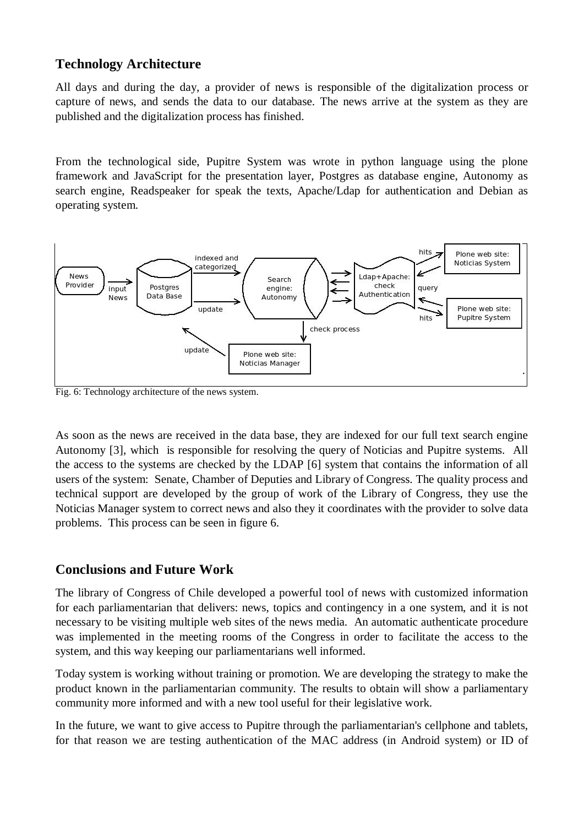## **Technology Architecture**

All days and during the day, a provider of news is responsible of the digitalization process or capture of news, and sends the data to our database. The news arrive at the system as they are published and the digitalization process has finished.

From the technological side, Pupitre System was wrote in python language using the plone framework and JavaScript for the presentation layer, Postgres as database engine, Autonomy as search engine, Readspeaker for speak the texts, Apache/Ldap for authentication and Debian as operating system.



Fig. 6: Technology architecture of the news system.

As soon as the news are received in the data base, they are indexed for our full text search engine Autonomy [3], which is responsible for resolving the query of Noticias and Pupitre systems. All the access to the systems are checked by the LDAP [6] system that contains the information of all users of the system: Senate, Chamber of Deputies and Library of Congress. The quality process and technical support are developed by the group of work of the Library of Congress, they use the Noticias Manager system to correct news and also they it coordinates with the provider to solve data problems. This process can be seen in figure 6.

### **Conclusions and Future Work**

The library of Congress of Chile developed a powerful tool of news with customized information for each parliamentarian that delivers: news, topics and contingency in a one system, and it is not necessary to be visiting multiple web sites of the news media. An automatic authenticate procedure was implemented in the meeting rooms of the Congress in order to facilitate the access to the system, and this way keeping our parliamentarians well informed.

Today system is working without training or promotion. We are developing the strategy to make the product known in the parliamentarian community. The results to obtain will show a parliamentary community more informed and with a new tool useful for their legislative work.

In the future, we want to give access to Pupitre through the parliamentarian's cellphone and tablets, for that reason we are testing authentication of the MAC address (in Android system) or ID of